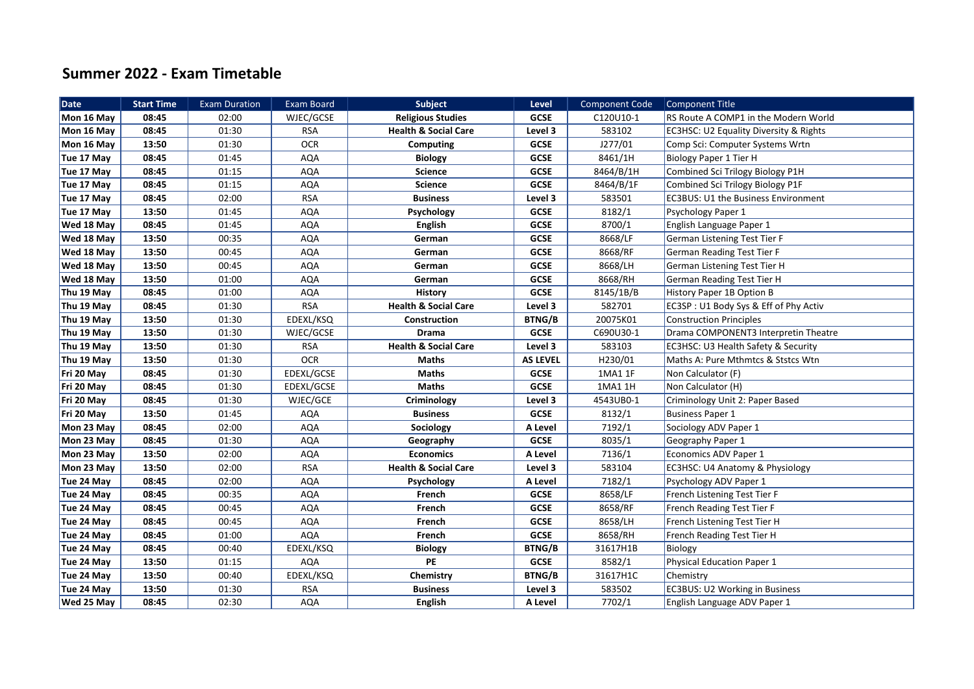## **Summer 2022 - Exam Timetable**

| <b>Date</b> | <b>Start Time</b> | <b>Exam Duration</b> | Exam Board | <b>Subject</b>                  | Level           | <b>Component Code</b> | Component Title                            |
|-------------|-------------------|----------------------|------------|---------------------------------|-----------------|-----------------------|--------------------------------------------|
| Mon 16 May  | 08:45             | 02:00                | WJEC/GCSE  | <b>Religious Studies</b>        | <b>GCSE</b>     | C120U10-1             | RS Route A COMP1 in the Modern World       |
| Mon 16 May  | 08:45             | 01:30                | <b>RSA</b> | <b>Health &amp; Social Care</b> | Level 3         | 583102                | EC3HSC: U2 Equality Diversity & Rights     |
| Mon 16 May  | 13:50             | 01:30                | <b>OCR</b> | <b>Computing</b>                | <b>GCSE</b>     | J277/01               | Comp Sci: Computer Systems Wrtn            |
| Tue 17 May  | 08:45             | 01:45                | <b>AQA</b> | <b>Biology</b>                  | <b>GCSE</b>     | 8461/1H               | <b>Biology Paper 1 Tier H</b>              |
| Tue 17 May  | 08:45             | 01:15                | <b>AQA</b> | <b>Science</b>                  | <b>GCSE</b>     | 8464/B/1H             | Combined Sci Trilogy Biology P1H           |
| Tue 17 May  | 08:45             | 01:15                | AQA        | <b>Science</b>                  | <b>GCSE</b>     | 8464/B/1F             | Combined Sci Trilogy Biology P1F           |
| Tue 17 May  | 08:45             | 02:00                | <b>RSA</b> | <b>Business</b>                 | Level 3         | 583501                | <b>EC3BUS: U1 the Business Environment</b> |
| Tue 17 May  | 13:50             | 01:45                | <b>AQA</b> | Psychology                      | <b>GCSE</b>     | 8182/1                | Psychology Paper 1                         |
| Wed 18 May  | 08:45             | 01:45                | <b>AQA</b> | <b>English</b>                  | <b>GCSE</b>     | 8700/1                | English Language Paper 1                   |
| Wed 18 May  | 13:50             | 00:35                | <b>AQA</b> | German                          | <b>GCSE</b>     | 8668/LF               | German Listening Test Tier F               |
| Wed 18 May  | 13:50             | 00:45                | <b>AQA</b> | German                          | <b>GCSE</b>     | 8668/RF               | German Reading Test Tier F                 |
| Wed 18 May  | 13:50             | 00:45                | <b>AQA</b> | German                          | <b>GCSE</b>     | 8668/LH               | German Listening Test Tier H               |
| Wed 18 May  | 13:50             | 01:00                | <b>AQA</b> | German                          | <b>GCSE</b>     | 8668/RH               | German Reading Test Tier H                 |
| Thu 19 May  | 08:45             | 01:00                | <b>AQA</b> | <b>History</b>                  | <b>GCSE</b>     | 8145/1B/B             | History Paper 1B Option B                  |
| Thu 19 May  | 08:45             | 01:30                | <b>RSA</b> | <b>Health &amp; Social Care</b> | Level 3         | 582701                | EC3SP: U1 Body Sys & Eff of Phy Activ      |
| Thu 19 May  | 13:50             | 01:30                | EDEXL/KSQ  | Construction                    | <b>BTNG/B</b>   | 20075K01              | <b>Construction Principles</b>             |
| Thu 19 May  | 13:50             | 01:30                | WJEC/GCSE  | <b>Drama</b>                    | <b>GCSE</b>     | C690U30-1             | Drama COMPONENT3 Interpretin Theatre       |
| Thu 19 May  | 13:50             | 01:30                | <b>RSA</b> | <b>Health &amp; Social Care</b> | Level 3         | 583103                | EC3HSC: U3 Health Safety & Security        |
| Thu 19 May  | 13:50             | 01:30                | <b>OCR</b> | Maths                           | <b>AS LEVEL</b> | H230/01               | Maths A: Pure Mthmtcs & Ststcs Wtn         |
| Fri 20 May  | 08:45             | 01:30                | EDEXL/GCSE | <b>Maths</b>                    | <b>GCSE</b>     | 1MA1 1F               | Non Calculator (F)                         |
| Fri 20 May  | 08:45             | 01:30                | EDEXL/GCSE | <b>Maths</b>                    | <b>GCSE</b>     | 1MA1 1H               | Non Calculator (H)                         |
| Fri 20 May  | 08:45             | 01:30                | WJEC/GCE   | Criminology                     | Level 3         | 4543UB0-1             | Criminology Unit 2: Paper Based            |
| Fri 20 May  | 13:50             | 01:45                | <b>AQA</b> | <b>Business</b>                 | <b>GCSE</b>     | 8132/1                | <b>Business Paper 1</b>                    |
| Mon 23 May  | 08:45             | 02:00                | AQA        | Sociology                       | A Level         | 7192/1                | Sociology ADV Paper 1                      |
| Mon 23 May  | 08:45             | 01:30                | AQA        | Geography                       | GCSE            | 8035/1                | Geography Paper 1                          |
| Mon 23 May  | 13:50             | 02:00                | <b>AQA</b> | <b>Economics</b>                | A Level         | 7136/1                | Economics ADV Paper 1                      |
| Mon 23 May  | 13:50             | 02:00                | <b>RSA</b> | <b>Health &amp; Social Care</b> | Level 3         | 583104                | EC3HSC: U4 Anatomy & Physiology            |
| Tue 24 May  | 08:45             | 02:00                | AQA        | Psychology                      | A Level         | 7182/1                | Psychology ADV Paper 1                     |
| Tue 24 May  | 08:45             | 00:35                | <b>AQA</b> | French                          | <b>GCSE</b>     | 8658/LF               | French Listening Test Tier F               |
| Tue 24 May  | 08:45             | 00:45                | <b>AQA</b> | French                          | <b>GCSE</b>     | 8658/RF               | French Reading Test Tier F                 |
| Tue 24 May  | 08:45             | 00:45                | AQA        | French                          | GCSE            | 8658/LH               | French Listening Test Tier H               |
| Tue 24 May  | 08:45             | 01:00                | <b>AQA</b> | French                          | <b>GCSE</b>     | 8658/RH               | French Reading Test Tier H                 |
| Tue 24 May  | 08:45             | 00:40                | EDEXL/KSQ  | <b>Biology</b>                  | <b>BTNG/B</b>   | 31617H1B              | Biology                                    |
| Tue 24 May  | 13:50             | 01:15                | AQA        | PE                              | GCSE            | 8582/1                | <b>Physical Education Paper 1</b>          |
| Tue 24 May  | 13:50             | 00:40                | EDEXL/KSQ  | Chemistry                       | <b>BTNG/B</b>   | 31617H1C              | Chemistry                                  |
| Tue 24 May  | 13:50             | 01:30                | <b>RSA</b> | <b>Business</b>                 | Level 3         | 583502                | EC3BUS: U2 Working in Business             |
| Wed 25 May  | 08:45             | 02:30                | <b>AQA</b> | English                         | A Level         | 7702/1                | English Language ADV Paper 1               |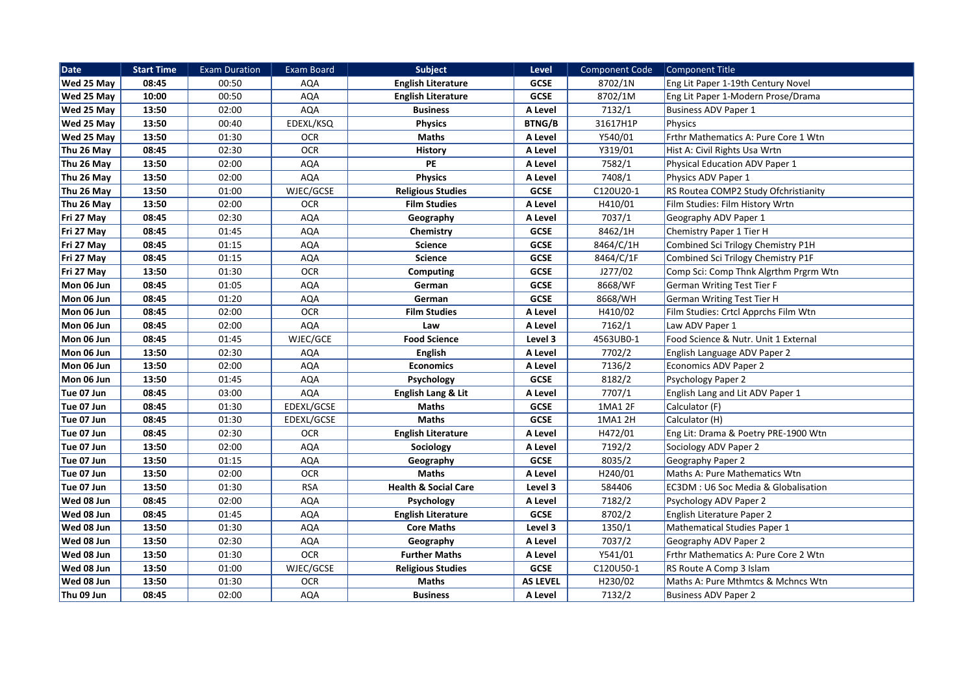| <b>Date</b>       | <b>Start Time</b> | <b>Exam Duration</b> | <b>Exam Board</b> | <b>Subject</b>                  | Level           | <b>Component Code</b> | Component Title                       |
|-------------------|-------------------|----------------------|-------------------|---------------------------------|-----------------|-----------------------|---------------------------------------|
| Wed 25 May        | 08:45             | 00:50                | AQA               | <b>English Literature</b>       | <b>GCSE</b>     | 8702/1N               | Eng Lit Paper 1-19th Century Novel    |
| Wed 25 May        | 10:00             | 00:50                | AQA               | <b>English Literature</b>       | <b>GCSE</b>     | 8702/1M               | Eng Lit Paper 1-Modern Prose/Drama    |
| Wed 25 May        | 13:50             | 02:00                | <b>AQA</b>        | <b>Business</b>                 | A Level         | 7132/1                | <b>Business ADV Paper 1</b>           |
| <b>Wed 25 May</b> | 13:50             | 00:40                | EDEXL/KSQ         | <b>Physics</b>                  | <b>BTNG/B</b>   | 31617H1P              | Physics                               |
| Wed 25 May        | 13:50             | 01:30                | <b>OCR</b>        | <b>Maths</b>                    | A Level         | Y540/01               | Frthr Mathematics A: Pure Core 1 Wtn  |
| Thu 26 May        | 08:45             | 02:30                | <b>OCR</b>        | <b>History</b>                  | A Level         | Y319/01               | Hist A: Civil Rights Usa Wrtn         |
| Thu 26 May        | 13:50             | 02:00                | <b>AQA</b>        | PE                              | A Level         | 7582/1                | <b>Physical Education ADV Paper 1</b> |
| Thu 26 May        | 13:50             | 02:00                | <b>AQA</b>        | <b>Physics</b>                  | A Level         | 7408/1                | Physics ADV Paper 1                   |
| Thu 26 May        | 13:50             | 01:00                | WJEC/GCSE         | <b>Religious Studies</b>        | <b>GCSE</b>     | C120U20-1             | RS Routea COMP2 Study Ofchristianity  |
| Thu 26 May        | 13:50             | 02:00                | <b>OCR</b>        | <b>Film Studies</b>             | A Level         | H410/01               | Film Studies: Film History Wrtn       |
| Fri 27 May        | 08:45             | 02:30                | <b>AQA</b>        | Geography                       | A Level         | 7037/1                | Geography ADV Paper 1                 |
| Fri 27 May        | 08:45             | 01:45                | <b>AQA</b>        | Chemistry                       | GCSE            | 8462/1H               | Chemistry Paper 1 Tier H              |
| Fri 27 May        | 08:45             | 01:15                | <b>AQA</b>        | <b>Science</b>                  | GCSE            | 8464/C/1H             | Combined Sci Trilogy Chemistry P1H    |
| Fri 27 May        | 08:45             | 01:15                | <b>AQA</b>        | <b>Science</b>                  | GCSE            | 8464/C/1F             | Combined Sci Trilogy Chemistry P1F    |
| Fri 27 May        | 13:50             | 01:30                | <b>OCR</b>        | Computing                       | <b>GCSE</b>     | J277/02               | Comp Sci: Comp Thnk Algrthm Prgrm Wtn |
| Mon 06 Jun        | 08:45             | 01:05                | <b>AQA</b>        | German                          | <b>GCSE</b>     | 8668/WF               | <b>German Writing Test Tier F</b>     |
| Mon 06 Jun        | 08:45             | 01:20                | AQA               | German                          | GCSE            | 8668/WH               | German Writing Test Tier H            |
| Mon 06 Jun        | 08:45             | 02:00                | <b>OCR</b>        | <b>Film Studies</b>             | A Level         | H410/02               | Film Studies: Crtcl Apprchs Film Wtn  |
| Mon 06 Jun        | 08:45             | 02:00                | <b>AQA</b>        | Law                             | A Level         | 7162/1                | Law ADV Paper 1                       |
| Mon 06 Jun        | 08:45             | 01:45                | WJEC/GCE          | <b>Food Science</b>             | Level 3         | 4563UB0-1             | Food Science & Nutr. Unit 1 External  |
| Mon 06 Jun        | 13:50             | 02:30                | <b>AQA</b>        | English                         | A Level         | 7702/2                | English Language ADV Paper 2          |
| Mon 06 Jun        | 13:50             | 02:00                | <b>AQA</b>        | <b>Economics</b>                | A Level         | 7136/2                | <b>Economics ADV Paper 2</b>          |
| Mon 06 Jun        | 13:50             | 01:45                | AQA               | Psychology                      | GCSE            | 8182/2                | Psychology Paper 2                    |
| Tue 07 Jun        | 08:45             | 03:00                | AQA               | <b>English Lang &amp; Lit</b>   | A Level         | 7707/1                | English Lang and Lit ADV Paper 1      |
| Tue 07 Jun        | 08:45             | 01:30                | EDEXL/GCSE        | <b>Maths</b>                    | GCSE            | 1MA1 2F               | Calculator (F)                        |
| Tue 07 Jun        | 08:45             | 01:30                | EDEXL/GCSE        | <b>Maths</b>                    | <b>GCSE</b>     | 1MA1 2H               | Calculator (H)                        |
| Tue 07 Jun        | 08:45             | 02:30                | <b>OCR</b>        | <b>English Literature</b>       | A Level         | H472/01               | Eng Lit: Drama & Poetry PRE-1900 Wtn  |
| Tue 07 Jun        | 13:50             | 02:00                | <b>AQA</b>        | Sociology                       | A Level         | 7192/2                | Sociology ADV Paper 2                 |
| Tue 07 Jun        | 13:50             | 01:15                | <b>AQA</b>        | Geography                       | GCSE            | 8035/2                | Geography Paper 2                     |
| Tue 07 Jun        | 13:50             | 02:00                | <b>OCR</b>        | <b>Maths</b>                    | A Level         | H240/01               | Maths A: Pure Mathematics Wtn         |
| Tue 07 Jun        | 13:50             | 01:30                | <b>RSA</b>        | <b>Health &amp; Social Care</b> | Level 3         | 584406                | EC3DM : U6 Soc Media & Globalisation  |
| Wed 08 Jun        | 08:45             | 02:00                | <b>AQA</b>        | Psychology                      | A Level         | 7182/2                | Psychology ADV Paper 2                |
| Wed 08 Jun        | 08:45             | 01:45                | <b>AQA</b>        | <b>English Literature</b>       | <b>GCSE</b>     | 8702/2                | English Literature Paper 2            |
| Wed 08 Jun        | 13:50             | 01:30                | <b>AQA</b>        | <b>Core Maths</b>               | Level 3         | 1350/1                | <b>Mathematical Studies Paper 1</b>   |
| Wed 08 Jun        | 13:50             | 02:30                | <b>AQA</b>        | Geography                       | A Level         | 7037/2                | Geography ADV Paper 2                 |
| Wed 08 Jun        | 13:50             | 01:30                | <b>OCR</b>        | <b>Further Maths</b>            | A Level         | Y541/01               | Frthr Mathematics A: Pure Core 2 Wtn  |
| Wed 08 Jun        | 13:50             | 01:00                | WJEC/GCSE         | <b>Religious Studies</b>        | <b>GCSE</b>     | C120U50-1             | RS Route A Comp 3 Islam               |
| Wed 08 Jun        | 13:50             | 01:30                | <b>OCR</b>        | <b>Maths</b>                    | <b>AS LEVEL</b> | H230/02               | Maths A: Pure Mthmtcs & Mchncs Wtn    |
| Thu 09 Jun        | 08:45             | 02:00                | <b>AQA</b>        | <b>Business</b>                 | A Level         | 7132/2                | <b>Business ADV Paper 2</b>           |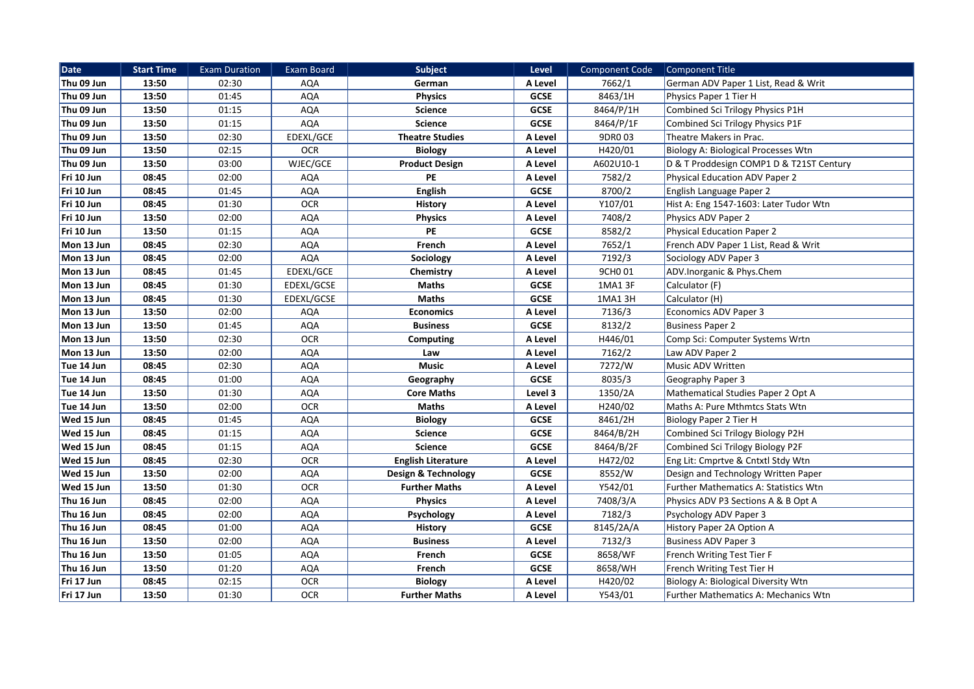| <b>Date</b> | <b>Start Time</b> | <b>Exam Duration</b> | <b>Exam Board</b> | <b>Subject</b>            | Level       | <b>Component Code</b> | Component Title                             |
|-------------|-------------------|----------------------|-------------------|---------------------------|-------------|-----------------------|---------------------------------------------|
| Thu 09 Jun  | 13:50             | 02:30                | AQA               | German                    | A Level     | 7662/1                | German ADV Paper 1 List, Read & Writ        |
| Thu 09 Jun  | 13:50             | 01:45                | <b>AQA</b>        | <b>Physics</b>            | <b>GCSE</b> | 8463/1H               | Physics Paper 1 Tier H                      |
| Thu 09 Jun  | 13:50             | 01:15                | <b>AQA</b>        | <b>Science</b>            | GCSE        | 8464/P/1H             | Combined Sci Trilogy Physics P1H            |
| Thu 09 Jun  | 13:50             | 01:15                | AQA               | <b>Science</b>            | <b>GCSE</b> | 8464/P/1F             | Combined Sci Trilogy Physics P1F            |
| Thu 09 Jun  | 13:50             | 02:30                | EDEXL/GCE         | <b>Theatre Studies</b>    | A Level     | 9DR0 03               | Theatre Makers in Prac.                     |
| Thu 09 Jun  | 13:50             | 02:15                | <b>OCR</b>        | <b>Biology</b>            | A Level     | H420/01               | Biology A: Biological Processes Wtn         |
| Thu 09 Jun  | 13:50             | 03:00                | WJEC/GCE          | <b>Product Design</b>     | A Level     | A602U10-1             | D & T Proddesign COMP1 D & T21ST Century    |
| Fri 10 Jun  | 08:45             | 02:00                | AQA               | <b>PE</b>                 | A Level     | 7582/2                | <b>Physical Education ADV Paper 2</b>       |
| Fri 10 Jun  | 08:45             | 01:45                | <b>AQA</b>        | <b>English</b>            | <b>GCSE</b> | 8700/2                | English Language Paper 2                    |
| Fri 10 Jun  | 08:45             | 01:30                | <b>OCR</b>        | History                   | A Level     | Y107/01               | Hist A: Eng 1547-1603: Later Tudor Wtn      |
| Fri 10 Jun  | 13:50             | 02:00                | <b>AQA</b>        | <b>Physics</b>            | A Level     | 7408/2                | Physics ADV Paper 2                         |
| Fri 10 Jun  | 13:50             | 01:15                | AQA               | PE                        | <b>GCSE</b> | 8582/2                | <b>Physical Education Paper 2</b>           |
| Mon 13 Jun  | 08:45             | 02:30                | <b>AQA</b>        | French                    | A Level     | 7652/1                | French ADV Paper 1 List, Read & Writ        |
| Mon 13 Jun  | 08:45             | 02:00                | <b>AQA</b>        | Sociology                 | A Level     | 7192/3                | Sociology ADV Paper 3                       |
| Mon 13 Jun  | 08:45             | 01:45                | EDEXL/GCE         | Chemistry                 | A Level     | 9CH0 01               | ADV.Inorganic & Phys.Chem                   |
| Mon 13 Jun  | 08:45             | 01:30                | EDEXL/GCSE        | <b>Maths</b>              | <b>GCSE</b> | 1MA1 3F               | Calculator (F)                              |
| Mon 13 Jun  | 08:45             | 01:30                | EDEXL/GCSE        | <b>Maths</b>              | <b>GCSE</b> | 1MA1 3H               | Calculator (H)                              |
| Mon 13 Jun  | 13:50             | 02:00                | <b>AQA</b>        | <b>Economics</b>          | A Level     | 7136/3                | <b>Economics ADV Paper 3</b>                |
| Mon 13 Jun  | 13:50             | 01:45                | <b>AQA</b>        | <b>Business</b>           | <b>GCSE</b> | 8132/2                | <b>Business Paper 2</b>                     |
| Mon 13 Jun  | 13:50             | 02:30                | <b>OCR</b>        | <b>Computing</b>          | A Level     | H446/01               | Comp Sci: Computer Systems Wrtn             |
| Mon 13 Jun  | 13:50             | 02:00                | <b>AQA</b>        | Law                       | A Level     | 7162/2                | Law ADV Paper 2                             |
| Tue 14 Jun  | 08:45             | 02:30                | <b>AQA</b>        | <b>Music</b>              | A Level     | 7272/W                | Music ADV Written                           |
| Tue 14 Jun  | 08:45             | 01:00                | <b>AQA</b>        | Geography                 | GCSE        | 8035/3                | Geography Paper 3                           |
| Tue 14 Jun  | 13:50             | 01:30                | AQA               | <b>Core Maths</b>         | Level 3     | 1350/2A               | Mathematical Studies Paper 2 Opt A          |
| Tue 14 Jun  | 13:50             | 02:00                | <b>OCR</b>        | <b>Maths</b>              | A Level     | H240/02               | Maths A: Pure Mthmtcs Stats Wtn             |
| Wed 15 Jun  | 08:45             | 01:45                | <b>AQA</b>        | <b>Biology</b>            | <b>GCSE</b> | 8461/2H               | Biology Paper 2 Tier H                      |
| Wed 15 Jun  | 08:45             | 01:15                | <b>AQA</b>        | <b>Science</b>            | <b>GCSE</b> | 8464/B/2H             | Combined Sci Trilogy Biology P2H            |
| Wed 15 Jun  | 08:45             | 01:15                | <b>AQA</b>        | <b>Science</b>            | <b>GCSE</b> | 8464/B/2F             | Combined Sci Trilogy Biology P2F            |
| Wed 15 Jun  | 08:45             | 02:30                | <b>OCR</b>        | <b>English Literature</b> | A Level     | H472/02               | Eng Lit: Cmprtve & Cntxtl Stdy Wtn          |
| Wed 15 Jun  | 13:50             | 02:00                | <b>AQA</b>        | Design & Technology       | <b>GCSE</b> | 8552/W                | Design and Technology Written Paper         |
| Wed 15 Jun  | 13:50             | 01:30                | <b>OCR</b>        | <b>Further Maths</b>      | A Level     | Y542/01               | Further Mathematics A: Statistics Wtn       |
| Thu 16 Jun  | 08:45             | 02:00                | <b>AQA</b>        | <b>Physics</b>            | A Level     | 7408/3/A              | Physics ADV P3 Sections A & B Opt A         |
| Thu 16 Jun  | 08:45             | 02:00                | <b>AQA</b>        | Psychology                | A Level     | 7182/3                | Psychology ADV Paper 3                      |
| Thu 16 Jun  | 08:45             | 01:00                | <b>AQA</b>        | History                   | <b>GCSE</b> | 8145/2A/A             | History Paper 2A Option A                   |
| Thu 16 Jun  | 13:50             | 02:00                | <b>AQA</b>        | <b>Business</b>           | A Level     | 7132/3                | <b>Business ADV Paper 3</b>                 |
| Thu 16 Jun  | 13:50             | 01:05                | AQA               | French                    | <b>GCSE</b> | 8658/WF               | French Writing Test Tier F                  |
| Thu 16 Jun  | 13:50             | 01:20                | <b>AQA</b>        | French                    | <b>GCSE</b> | 8658/WH               | French Writing Test Tier H                  |
| Fri 17 Jun  | 08:45             | 02:15                | <b>OCR</b>        | <b>Biology</b>            | A Level     | H420/02               | Biology A: Biological Diversity Wtn         |
| Fri 17 Jun  | 13:50             | 01:30                | <b>OCR</b>        | <b>Further Maths</b>      | A Level     | Y543/01               | <b>Further Mathematics A: Mechanics Wtn</b> |